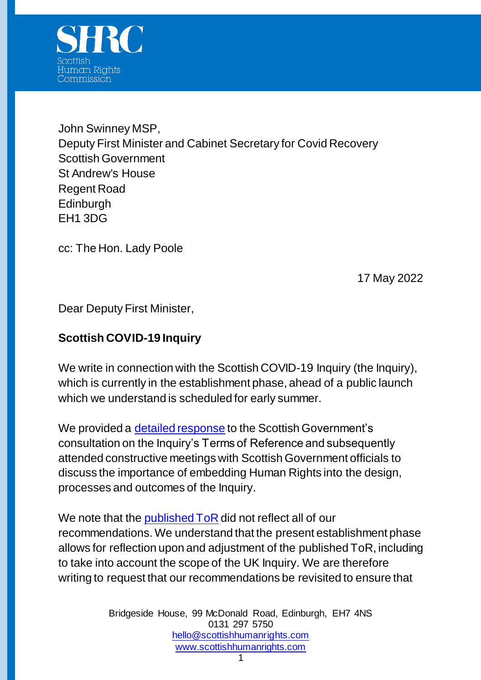

John Swinney MSP, Deputy First Minister and Cabinet Secretary for Covid Recovery Scottish Government St Andrew's House Regent Road Edinburgh EH1 3DG

cc: The Hon. Lady Poole

17 May 2022

Dear Deputy First Minister,

## **Scottish COVID-19 Inquiry**

We write in connection with the Scottish COVID-19 Inquiry (the Inquiry), which is currently in the establishment phase, ahead of a public launch which we understand is scheduled for early summer.

We provided a [detailed response](https://www.scottishhumanrights.com/media/2229/reponse-covid-public-inquiry-consultation-final-300921.pdf) to the Scottish Government's consultation on the Inquiry's Terms of Reference and subsequently attended constructive meetings with Scottish Government officials to discuss the importance of embedding Human Rights into the design, processes and outcomes of the Inquiry.

We note that the [published ToR](https://www.gov.scot/publications/covid-19-inquiry/pages/terms-of-reference/) did not reflect all of our recommendations. We understand that the present establishment phase allows for reflection upon and adjustment of the published ToR, including to take into account the scope of the UK Inquiry. We are therefore writing to request that our recommendations be revisited to ensure that

> Bridgeside House, 99 McDonald Road, Edinburgh, EH7 4NS 0131 297 5750 [hello@scottishhumanrights.com](mailto:hello@scottishhumanrights.com) [www.scottishhumanrights.com](http://www.scottishhumanrights.com/)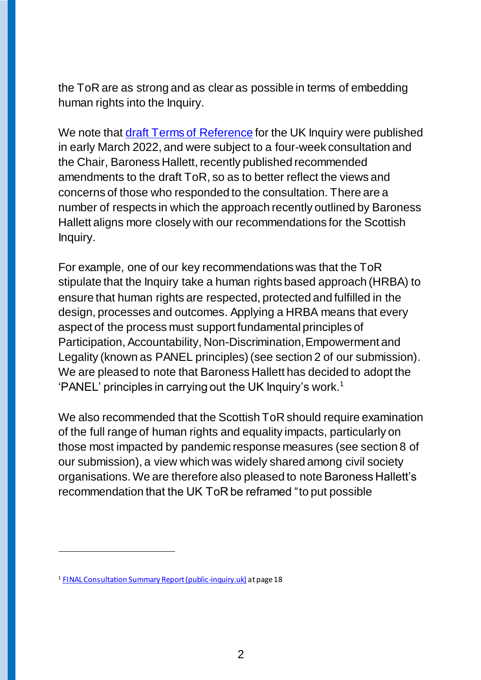the ToR are as strong and as clear as possible in terms of embedding human rights into the Inquiry.

We note that [draft Terms of Reference](https://www.gov.uk/government/publications/uk-covid-19-inquiry-draft-terms-of-reference/uk-covid-19-inquiry-draft-terms-of-reference-html) for the UK Inquiry were published in early March 2022, and were subject to a four-week consultation and the Chair, Baroness Hallett, recently published recommended amendments to the draft ToR, so as to better reflect the views and concerns of those who responded to the consultation. There are a number of respects in which the approach recently outlined by Baroness Hallett aligns more closely with our recommendations for the Scottish Inquiry.

For example, one of our key recommendations was that the ToR stipulate that the Inquiry take a human rights based approach (HRBA) to ensure that human rights are respected, protected and fulfilled in the design, processes and outcomes. Applying a HRBA means that every aspect of the process must support fundamental principles of Participation, Accountability, Non-Discrimination, Empowerment and Legality (known as PANEL principles) (see section 2 of our submission). We are pleased to note that Baroness Hallett has decided to adopt the 'PANEL' principles in carrying out the UK Inquiry's work.<sup>1</sup>

We also recommended that the Scottish ToR should require examination of the full range of human rights and equality impacts, particularly on those most impacted by pandemic response measures (see section 8 of our submission), a view which was widely shared among civil society organisations. We are therefore also pleased to note Baroness Hallett's recommendation that the UK ToR be reframed "to put possible

 $\overline{a}$ 

<sup>&</sup>lt;sup>1</sup> [FINAL Consultation Summary Report \(public-inquiry.uk\)](https://covid19.public-inquiry.uk/wp-content/uploads/2022/05/FINAL-Consultation-Summary-Report.pdf) at page 18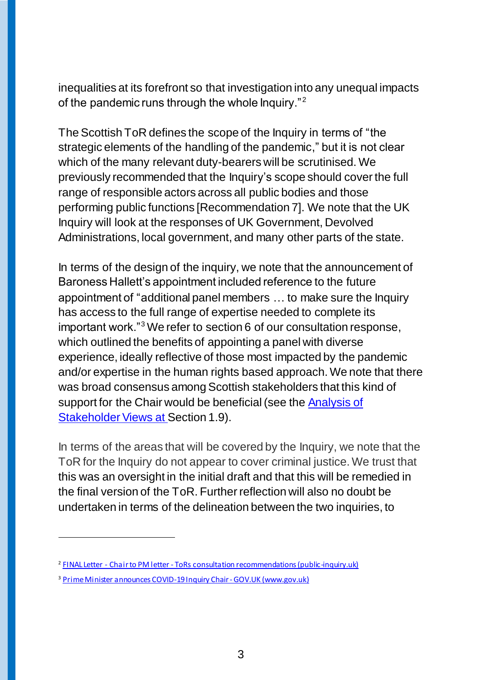inequalities at its forefront so that investigation into any unequal impacts of the pandemic runs through the whole Inquiry."<sup>2</sup>

The Scottish ToR defines the scope of the Inquiry in terms of "the strategic elements of the handling of the pandemic," but it is not clear which of the many relevant duty-bearers will be scrutinised. We previously recommended that the Inquiry's scope should cover the full range of responsible actors across all public bodies and those performing public functions [Recommendation 7]. We note that the UK Inquiry will look at the responses of UK Government, Devolved Administrations, local government, and many other parts of the state.

In terms of the design of the inquiry, we note that the announcement of Baroness Hallett's appointment included reference to the future appointment of "additional panel members … to make sure the Inquiry has access to the full range of expertise needed to complete its important work."<sup>3</sup> We refer to section 6 of our consultation response, which outlined the benefits of appointing a panel with diverse experience, ideally reflective of those most impacted by the pandemic and/or expertise in the human rights based approach. We note that there was broad consensus among Scottish stakeholders that this kind of support for the Chair would be beneficial (see the [Analysis of](https://www.gov.scot/binaries/content/documents/govscot/publications/research-and-analysis/2021/12/scottish-covid-19-inquiry-analysis-public-stakeholders-views-approach-establishing-public-inquiry/documents/covid-19-scottish-inquiry-analysis-public-stakeholders-views-approach-establishing-inquiry/covid-19-scottish-inquiry-analysis-public-stakeholders-views-approach-establishing-inquiry/govscot%3Adocument/covid-19-scottish-inquiry-analysis-public-stakeholders-views-approach-establishing-inquiry.pdf)  [Stakeholder Views](https://www.gov.scot/binaries/content/documents/govscot/publications/research-and-analysis/2021/12/scottish-covid-19-inquiry-analysis-public-stakeholders-views-approach-establishing-public-inquiry/documents/covid-19-scottish-inquiry-analysis-public-stakeholders-views-approach-establishing-inquiry/covid-19-scottish-inquiry-analysis-public-stakeholders-views-approach-establishing-inquiry/govscot%3Adocument/covid-19-scottish-inquiry-analysis-public-stakeholders-views-approach-establishing-inquiry.pdf) at Section 1.9).

In terms of the areas that will be covered by the Inquiry, we note that the ToR for the Inquiry do not appear to cover criminal justice. We trust that this was an oversight in the initial draft and that this will be remedied in the final version of the ToR. Further reflection will also no doubt be undertaken in terms of the delineation between the two inquiries, to

 $\overline{a}$ 

<sup>2</sup> FINAL Letter - Chair to PM letter - [ToRs consultation recommendations \(public-inquiry.uk\)](https://covid19.public-inquiry.uk/wp-content/uploads/2022/05/2022_05_12_Chair_letter_to_PM_ToRs_recommendations_FINAL.pdf)

<sup>&</sup>lt;sup>3</sup> Prime Minister announces COVID-19 Inquiry Chair - GOV.UK (www.gov.uk)